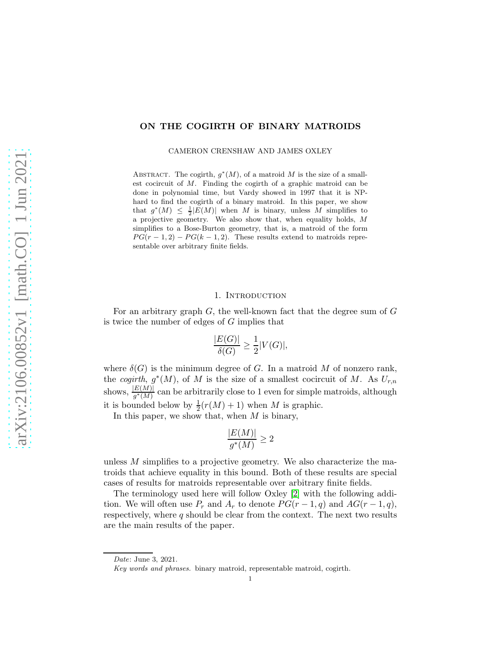# ON THE COGIRTH OF BINARY MATROIDS

CAMERON CRENSHAW AND JAMES OXLEY

ABSTRACT. The cogirth,  $g^*(M)$ , of a matroid M is the size of a smallest cocircuit of M. Finding the cogirth of a graphic matroid can be done in polynomial time, but Vardy showed in 1997 that it is NPhard to find the cogirth of a binary matroid. In this paper, we show that  $g^*(M) \leq \frac{1}{2} |E(M)|$  when M is binary, unless M simplifies to a projective geometry. We also show that, when equality holds, M simplifies to a Bose-Burton geometry, that is, a matroid of the form  $PG(r-1, 2) - PG(k-1, 2)$ . These results extend to matroids representable over arbitrary finite fields.

#### 1. INTRODUCTION

For an arbitrary graph  $G$ , the well-known fact that the degree sum of  $G$ is twice the number of edges of G implies that

$$
\frac{|E(G)|}{\delta(G)} \ge \frac{1}{2}|V(G)|,
$$

where  $\delta(G)$  is the minimum degree of G. In a matroid M of nonzero rank, the cogirth,  $g^*(M)$ , of M is the size of a smallest cocircuit of M. As  $U_{r,n}$ shows,  $\frac{|E(M)|}{g^*(M)}$  can be arbitrarily close to 1 even for simple matroids, although it is bounded below by  $\frac{1}{2}(r(M) + 1)$  when M is graphic.

In this paper, we show that, when  $M$  is binary,

$$
\frac{|E(M)|}{g^*(M)} \ge 2
$$

unless M simplifies to a projective geometry. We also characterize the matroids that achieve equality in this bound. Both of these results are special cases of results for matroids representable over arbitrary finite fields.

The terminology used here will follow Oxley [\[2\]](#page-7-0) with the following addition. We will often use  $P_r$  and  $A_r$  to denote  $PG(r-1, q)$  and  $AG(r-1, q)$ , respectively, where q should be clear from the context. The next two results are the main results of the paper.

Date: June 3, 2021.

Key words and phrases. binary matroid, representable matroid, cogirth.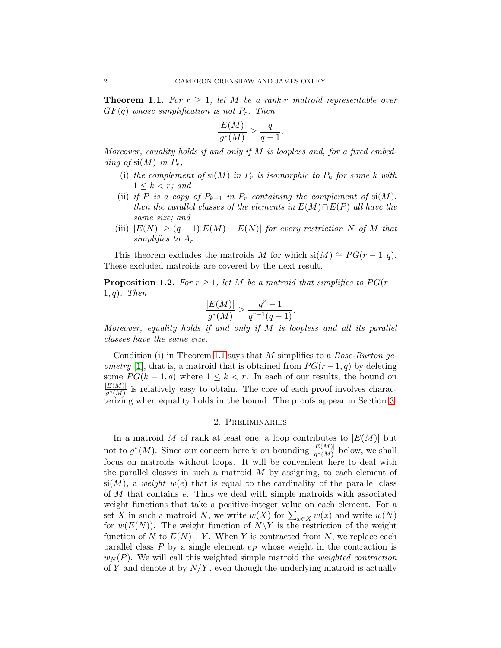<span id="page-1-0"></span>**Theorem 1.1.** For  $r \geq 1$ , let M be a rank-r matroid representable over  $GF(q)$  whose simplification is not  $P_r$ . Then

$$
\frac{|E(M)|}{g^*(M)} \ge \frac{q}{q-1}.
$$

Moreover, equality holds if and only if  $M$  is loopless and, for a fixed embedding of  $\mathrm{si}(M)$  in  $P_r$ ,

- (i) the complement of  $\mathrm{si}(M)$  in  $P_r$  is isomorphic to  $P_k$  for some k with  $1 \leq k < r$ ; and
- (ii) if P is a copy of  $P_{k+1}$  in  $P_r$  containing the complement of  $si(M)$ , then the parallel classes of the elements in  $E(M) \cap E(P)$  all have the same size; and
- (iii)  $|E(N)| \geq (q-1)|E(M) E(N)|$  for every restriction N of M that simplifies to  $A_r$ .

This theorem excludes the matroids M for which si $(M) \cong PG(r-1, q)$ . These excluded matroids are covered by the next result.

<span id="page-1-1"></span>**Proposition 1.2.** For  $r \geq 1$ , let M be a matroid that simplifies to  $PG(r - )$  $1, q$ ). Then

$$
\frac{|E(M)|}{g^*(M)} \ge \frac{q^r - 1}{q^{r-1}(q-1)}.
$$

Moreover, equality holds if and only if  $M$  is loopless and all its parallel classes have the same size.

Condition (i) in Theorem [1.1](#page-1-0) says that M simplifies to a *Bose-Burton geometry* [\[1\]](#page-7-1), that is, a matroid that is obtained from  $PG(r-1, q)$  by deleting some  $PG(k-1, q)$  where  $1 \leq k < r$ . In each of our results, the bound on  $|E(M)|$  $\frac{E(M)|}{g^*(M)}$  is relatively easy to obtain. The core of each proof involves characterizing when equality holds in the bound. The proofs appear in Section [3.](#page-2-0)

### 2. Preliminaries

In a matroid M of rank at least one, a loop contributes to  $|E(M)|$  but not to  $g^*(M)$ . Since our concern here is on bounding  $\frac{|E(M)|}{g^*(M)}$  below, we shall focus on matroids without loops. It will be convenient here to deal with the parallel classes in such a matroid  $M$  by assigning, to each element of  $\sin(M)$ , a weight w(e) that is equal to the cardinality of the parallel class of M that contains e. Thus we deal with simple matroids with associated weight functions that take a positive-integer value on each element. For a set X in such a matroid N, we write  $w(X)$  for  $\sum_{x \in X} w(x)$  and write  $w(N)$ for  $w(E(N))$ . The weight function of  $N\Y$  is the restriction of the weight function of N to  $E(N) - Y$ . When Y is contracted from N, we replace each parallel class  $P$  by a single element  $ep$  whose weight in the contraction is  $w_N(P)$ . We will call this weighted simple matroid the *weighted contraction* of Y and denote it by  $N/Y$ , even though the underlying matroid is actually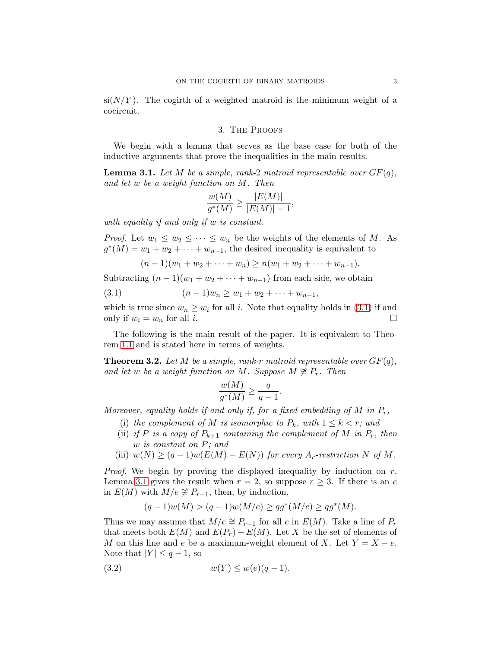<span id="page-2-0"></span> $\sin(N/Y)$ . The cogirth of a weighted matroid is the minimum weight of a cocircuit.

## 3. The Proofs

We begin with a lemma that serves as the base case for both of the inductive arguments that prove the inequalities in the main results.

<span id="page-2-2"></span>**Lemma 3.1.** Let M be a simple, rank-2 matroid representable over  $GF(q)$ , and let w be a weight function on M. Then

$$
\frac{w(M)}{g^*(M)} \ge \frac{|E(M)|}{|E(M)| - 1},
$$

with equality if and only if w is constant.

*Proof.* Let  $w_1 \leq w_2 \leq \cdots \leq w_n$  be the weights of the elements of M. As  $g^*(M) = w_1 + w_2 + \cdots + w_{n-1}$ , the desired inequality is equivalent to

<span id="page-2-1"></span>
$$
(n-1)(w_1 + w_2 + \cdots + w_n) \ge n(w_1 + w_2 + \cdots + w_{n-1}).
$$

Subtracting  $(n-1)(w_1 + w_2 + \cdots + w_{n-1})$  from each side, we obtain

$$
(3.1) \t\t\t (n-1)w_n \geq w_1 + w_2 + \cdots + w_{n-1},
$$

which is true since  $w_n \geq w_i$  for all i. Note that equality holds in [\(3.1\)](#page-2-1) if and only if  $w_i = w_n$  for all i.

The following is the main result of the paper. It is equivalent to Theorem [1.1](#page-1-0) and is stated here in terms of weights.

<span id="page-2-4"></span>**Theorem 3.2.** Let M be a simple, rank-r matroid representable over  $GF(q)$ , and let w be a weight function on M. Suppose  $M \not\cong P_r$ . Then

$$
\frac{w(M)}{g^*(M)} \ge \frac{q}{q-1}.
$$

Moreover, equality holds if and only if, for a fixed embedding of  $M$  in  $P_r$ ,

- (i) the complement of M is isomorphic to  $P_k$ , with  $1 \leq k < r$ ; and
- (ii) if P is a copy of  $P_{k+1}$  containing the complement of M in  $P_r$ , then w is constant on P; and
- (iii)  $w(N) \ge (q-1)w(E(M) E(N))$  for every  $A_r$ -restriction N of M.

*Proof.* We begin by proving the displayed inequality by induction on  $r$ . Lemma [3.1](#page-2-2) gives the result when  $r = 2$ , so suppose  $r \geq 3$ . If there is an e in  $E(M)$  with  $M/e \not\cong P_{r-1}$ , then, by induction,

<span id="page-2-3"></span>
$$
(q-1)w(M) > (q-1)w(M/e) \ge qg^*(M/e) \ge qg^*(M).
$$

Thus we may assume that  $M/e \cong P_{r-1}$  for all e in  $E(M)$ . Take a line of  $P_r$ that meets both  $E(M)$  and  $E(P_r) - E(M)$ . Let X be the set of elements of M on this line and e be a maximum-weight element of X. Let  $Y = X - e$ . Note that  $|Y| \leq q-1$ , so

$$
(3.2) \t\t\t w(Y) \le w(e)(q-1).
$$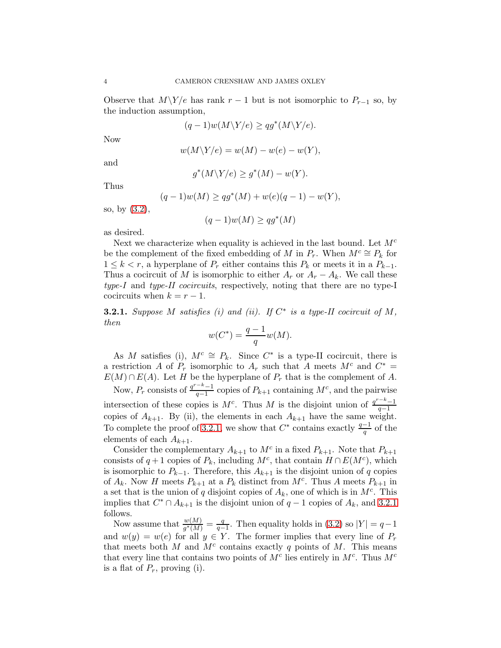Observe that  $M\Ye$  has rank  $r-1$  but is not isomorphic to  $P_{r-1}$  so, by the induction assumption,

$$
(q-1)w(M\backslash Y/e) \geq qg^*(M\backslash Y/e).
$$

Now

$$
w(M\backslash Y/e) = w(M) - w(e) - w(Y),
$$

and

$$
g^*(M\backslash Y/e) \ge g^*(M) - w(Y).
$$

∗∗∗ ∗

∗∗ ∡ − −∗ − − *+* ∗

Thus

$$
(q-1)w(M) \ge qg^*(M) + w(e)(q-1) - w(Y),
$$

so, by [\(3.2\)](#page-2-3),

$$
(q-1)w(M) \ge qg^*(M)
$$

as desired.

Next we characterize when equality is achieved in the last bound. Let  $M<sup>c</sup>$ be the complement of the fixed embedding of M in  $P_r$ . When  $M^c \cong P_k$  for  $1 \leq k < r$ , a hyperplane of  $P_r$  either contains this  $P_k$  or meets it in a  $P_{k-1}$ . Thus a cocircuit of M is isomorphic to either  $A_r$  or  $A_r - A_k$ . We call these type-I and type-II cocircuits, respectively, noting that there are no type-I cocircuits when  $k = r - 1$ .

<span id="page-3-0"></span>**3.2.1.** Suppose M satisfies (i) and (ii). If  $C^*$  is a type-II cocircuit of M, then

$$
w(C^*) = \frac{q-1}{q}w(M).
$$

As M satisfies (i),  $M^c \cong P_k$ . Since  $C^*$  is a type-II cocircuit, there is a restriction A of  $P_r$  isomorphic to  $A_r$  such that A meets  $M^c$  and  $C^*$  =  $E(M) \cap E(A)$ . Let H be the hyperplane of  $P_r$  that is the complement of A.

Now,  $P_r$  consists of  $\frac{q^{r-k}-1}{q-1}$  $\frac{-\kappa-1}{q-1}$  copies of  $P_{k+1}$  containing  $M^c$ , and the pairwise intersection of these copies is  $M^c$ . Thus M is the disjoint union of  $\frac{q^{r-k}-1}{q-1}$  $q-1$ copies of  $A_{k+1}$ . By (ii), the elements in each  $A_{k+1}$  have the same weight. To complete the proof of [3.2.1,](#page-3-0) we show that  $C^*$  contains exactly  $\frac{q-1}{q}$  of the elements of each  $A_{k+1}$ .

Consider the complementary  $A_{k+1}$  to  $M^c$  in a fixed  $P_{k+1}$ . Note that  $P_{k+1}$ consists of  $q+1$  copies of  $P_k$ , including  $M^c$ , that contain  $H \cap E(M^c)$ , which is isomorphic to  $P_{k-1}$ . Therefore, this  $A_{k+1}$  is the disjoint union of q copies of  $A_k$ . Now H meets  $P_{k+1}$  at a  $P_k$  distinct from  $M^c$ . Thus A meets  $P_{k+1}$  in a set that is the union of q disjoint copies of  $A_k$ , one of which is in  $M<sup>c</sup>$ . This implies that  $C^* \cap A_{k+1}$  is the disjoint union of  $q-1$  copies of  $A_k$ , and [3.2.1](#page-3-0) follows.

Now assume that  $\frac{w(M)}{g^*(M)} = \frac{q}{q-1}$  $\frac{q}{q-1}$ . Then equality holds in [\(3.2\)](#page-2-3) so  $|Y| = q-1$ and  $w(y) = w(e)$  for all  $y \in Y$ . The former implies that every line of  $P_r$ that meets both  $M$  and  $M^c$  contains exactly  $q$  points of  $M$ . This means that every line that contains two points of  $M<sup>c</sup>$  lies entirely in  $M<sup>c</sup>$ . Thus  $M<sup>c</sup>$ is a flat of  $P_r$ , proving (i).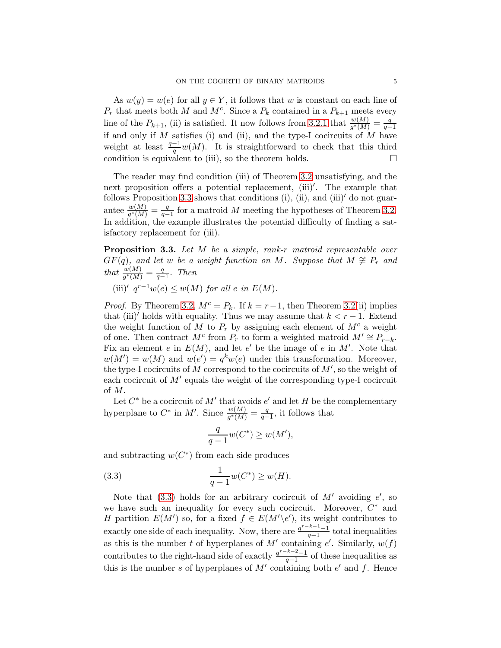As  $w(y) = w(e)$  for all  $y \in Y$ , it follows that w is constant on each line of  $P_r$  that meets both M and  $M^c$ . Since a  $P_k$  contained in a  $P_{k+1}$  meets every line of the  $P_{k+1}$ , (ii) is satisfied. It now follows from [3.2.1](#page-3-0) that  $\frac{w(M)}{g^*(M)} = \frac{q}{q-1}$  $q-1$ if and only if  $M$  satisfies (i) and (ii), and the type-I cocircuits of  $\overleftrightarrow{M}$  have weight at least  $\frac{q-1}{q}w(M)$ . It is straightforward to check that this third condition is equivalent to (iii), so the theorem holds.  $\square$ 

The reader may find condition (iii) of Theorem [3.2](#page-2-4) unsatisfying, and the next proposition offers a potential replacement, (iii)′ . The example that follows Proposition [3.3](#page-4-0) shows that conditions  $(i)$ ,  $(ii)$ , and  $(iii)'$  do not guarantee  $\frac{w(M)}{g^*(M)} = \frac{q}{q-1}$  $\frac{q}{q-1}$  for a matroid M meeting the hypotheses of Theorem [3.2.](#page-2-4) In addition, the example illustrates the potential difficulty of finding a satisfactory replacement for (iii).

<span id="page-4-0"></span>Proposition 3.3. Let M be a simple, rank-r matroid representable over  $GF(q)$ , and let w be a weight function on M. Suppose that  $M \not\cong P_r$  and that  $\frac{w(M)}{g^*(M)} = \frac{q}{q-1}$  $\frac{q}{q-1}$ . Then

(iii)' 
$$
q^{r-1}w(e) \leq w(M)
$$
 for all  $e$  in  $E(M)$ .

*Proof.* By Theorem [3.2,](#page-2-4)  $M^c = P_k$ . If  $k = r-1$ , then Theorem [3.2\(](#page-2-4)ii) implies that (iii)′ holds with equality. Thus we may assume that  $k < r - 1$ . Extend the weight function of M to  $P_r$  by assigning each element of  $M^c$  a weight of one. Then contract  $M^c$  from  $P_r$  to form a weighted matroid  $M' \cong P_{r-k}$ . Fix an element e in  $E(M)$ , and let e' be the image of e in M'. Note that  $w(M') = w(M)$  and  $w(e') = q^k w(e)$  under this transformation. Moreover, the type-I cocircuits of  $M$  correspond to the cocircuits of  $M'$ , so the weight of each cocircuit of  $M'$  equals the weight of the corresponding type-I cocircuit of M.

Let  $C^*$  be a cocircuit of  $M'$  that avoids  $e'$  and let H be the complementary hyperplane to  $C^*$  in  $M'$ . Since  $\frac{w(M)}{g^*(M)} = \frac{q}{q-1}$  $\frac{q}{q-1}$ , it follows that

<span id="page-4-1"></span>
$$
\frac{q}{q-1}w(C^*) \ge w(M'),
$$

and subtracting  $w(C^*)$  from each side produces

(3.3) 
$$
\frac{1}{q-1}w(C^*) \ge w(H).
$$

Note that  $(3.3)$  holds for an arbitrary cocircuit of  $M'$  avoiding  $e'$ , so we have such an inequality for every such cocircuit. Moreover,  $C^*$  and H partition  $E(M')$  so, for a fixed  $f \in E(M' \backslash e')$ , its weight contributes to exactly one side of each inequality. Now, there are  $\frac{q^{r-k-1}-1}{q-1}$  $\frac{n-1}{q-1}$  total inequalities as this is the number t of hyperplanes of  $M'$  containing  $e'$ . Similarly,  $w(f)$ contributes to the right-hand side of exactly  $\frac{q^{r-k-2}-1}{q-1}$  $\frac{\pi^2-1}{q-1}$  of these inequalities as this is the number s of hyperplanes of  $M'$  containing both  $e'$  and  $f$ . Hence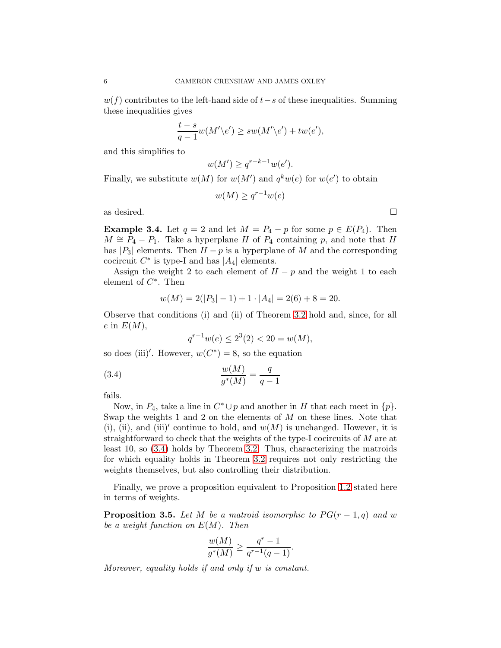$w(f)$  contributes to the left-hand side of  $t-s$  of these inequalities. Summing these inequalities gives

$$
\frac{t-s}{q-1}w(M'\backslash e') \ge sw(M'\backslash e') + tw(e'),
$$

and this simplifies to

$$
w(M') \geq q^{r-k-1}w(e').
$$

Finally, we substitute  $w(M)$  for  $w(M')$  and  $q^k w(e)$  for  $w(e')$  to obtain

$$
w(M) \ge q^{r-1}w(e)
$$

as desired.  $\Box$ 

**Example 3.4.** Let  $q = 2$  and let  $M = P_4 - p$  for some  $p \in E(P_4)$ . Then  $M \cong P_4 - P_1$ . Take a hyperplane H of  $P_4$  containing p, and note that H has  $|P_3|$  elements. Then  $H - p$  is a hyperplane of M and the corresponding cocircuit  $C^*$  is type-I and has  $|A_4|$  elements.

Assign the weight 2 to each element of  $H - p$  and the weight 1 to each element of  $C^*$ . Then

$$
w(M) = 2(|P_3| - 1) + 1 \cdot |A_4| = 2(6) + 8 = 20.
$$

Observe that conditions (i) and (ii) of Theorem [3.2](#page-2-4) hold and, since, for all  $e$  in  $E(M)$ ,

<span id="page-5-0"></span>
$$
q^{r-1}w(e) \le 2^3(2) < 20 = w(M),
$$

so does (iii)'. However,  $w(C^*) = 8$ , so the equation

(3.4) 
$$
\frac{w(M)}{g^*(M)} = \frac{q}{q-1}
$$

fails.

Now, in  $P_4$ , take a line in  $C^* \cup p$  and another in H that each meet in  $\{p\}$ . Swap the weights 1 and 2 on the elements of  $M$  on these lines. Note that (i), (ii), and (iii)' continue to hold, and  $w(M)$  is unchanged. However, it is straightforward to check that the weights of the type-I cocircuits of M are at least 10, so [\(3.4\)](#page-5-0) holds by Theorem [3.2.](#page-2-4) Thus, characterizing the matroids for which equality holds in Theorem [3.2](#page-2-4) requires not only restricting the weights themselves, but also controlling their distribution.

Finally, we prove a proposition equivalent to Proposition [1.2](#page-1-1) stated here in terms of weights.

**Proposition 3.5.** Let M be a matroid isomorphic to  $PG(r-1,q)$  and w be a weight function on  $E(M)$ . Then

$$
\frac{w(M)}{g^*(M)} \ge \frac{q^r - 1}{q^{r-1}(q-1)}.
$$

Moreover, equality holds if and only if w is constant.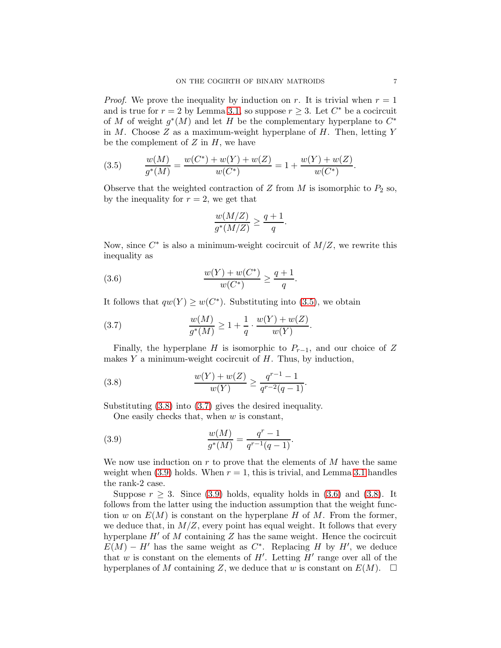*Proof.* We prove the inequality by induction on r. It is trivial when  $r = 1$ and is true for  $r = 2$  by Lemma [3.1,](#page-2-2) so suppose  $r \geq 3$ . Let  $C^*$  be a cocircuit of M of weight  $g^*(M)$  and let H be the complementary hyperplane to  $C^*$ in  $M$ . Choose  $Z$  as a maximum-weight hyperplane of  $H$ . Then, letting  $Y$ be the complement of  $Z$  in  $H$ , we have

<span id="page-6-0"></span>(3.5) 
$$
\frac{w(M)}{g^*(M)} = \frac{w(C^*) + w(Y) + w(Z)}{w(C^*)} = 1 + \frac{w(Y) + w(Z)}{w(C^*)}.
$$

Observe that the weighted contraction of Z from M is isomorphic to  $P_2$  so, by the inequality for  $r = 2$ , we get that

<span id="page-6-4"></span>
$$
\frac{w(M/Z)}{g^*(M/Z)} \ge \frac{q+1}{q}.
$$

Now, since  $C^*$  is also a minimum-weight cocircuit of  $M/Z$ , we rewrite this inequality as

(3.6) 
$$
\frac{w(Y) + w(C^*)}{w(C^*)} \ge \frac{q+1}{q}.
$$

It follows that  $qw(Y) \geq w(C^*)$ . Substituting into [\(3.5\)](#page-6-0), we obtain

<span id="page-6-2"></span>(3.7) 
$$
\frac{w(M)}{g^*(M)} \ge 1 + \frac{1}{q} \cdot \frac{w(Y) + w(Z)}{w(Y)}.
$$

Finally, the hyperplane H is isomorphic to  $P_{r-1}$ , and our choice of Z makes  $Y$  a minimum-weight cocircuit of  $H$ . Thus, by induction,

(3.8) 
$$
\frac{w(Y) + w(Z)}{w(Y)} \ge \frac{q^{r-1} - 1}{q^{r-2}(q-1)}.
$$

Substituting [\(3.8\)](#page-6-1) into [\(3.7\)](#page-6-2) gives the desired inequality.

<span id="page-6-3"></span><span id="page-6-1"></span>One easily checks that, when  $w$  is constant,

(3.9) 
$$
\frac{w(M)}{g^*(M)} = \frac{q^r - 1}{q^{r-1}(q-1)}.
$$

We now use induction on  $r$  to prove that the elements of  $M$  have the same weight when  $(3.9)$  holds. When  $r = 1$ , this is trivial, and Lemma [3.1](#page-2-2) handles the rank-2 case.

Suppose  $r \geq 3$ . Since [\(3.9\)](#page-6-3) holds, equality holds in [\(3.6\)](#page-6-4) and [\(3.8\)](#page-6-1). It follows from the latter using the induction assumption that the weight function w on  $E(M)$  is constant on the hyperplane H of M. From the former, we deduce that, in  $M/Z$ , every point has equal weight. It follows that every hyperplane  $H'$  of M containing Z has the same weight. Hence the cocircuit  $E(M) - H'$  has the same weight as  $C^*$ . Replacing H by H', we deduce that w is constant on the elements of  $H'$ . Letting  $H'$  range over all of the hyperplanes of M containing Z, we deduce that w is constant on  $E(M)$ .  $\Box$